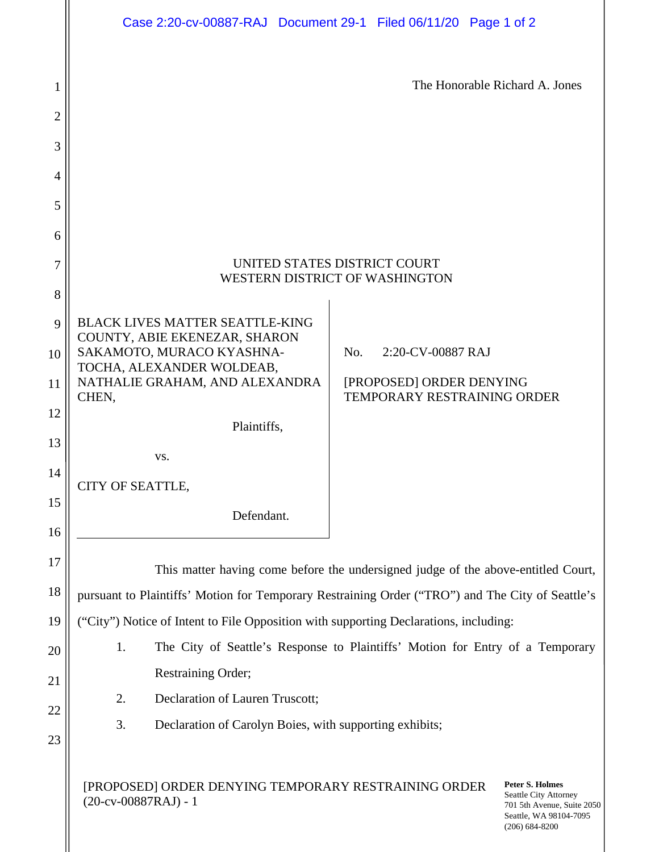|                     | Case 2:20-cv-00887-RAJ Document 29-1 Filed 06/11/20 Page 1 of 2                                                                                                                                                 |     |                                                         |  |                                |  |
|---------------------|-----------------------------------------------------------------------------------------------------------------------------------------------------------------------------------------------------------------|-----|---------------------------------------------------------|--|--------------------------------|--|
| 1<br>$\overline{2}$ |                                                                                                                                                                                                                 |     |                                                         |  | The Honorable Richard A. Jones |  |
| 3                   |                                                                                                                                                                                                                 |     |                                                         |  |                                |  |
| 4                   |                                                                                                                                                                                                                 |     |                                                         |  |                                |  |
| 5                   |                                                                                                                                                                                                                 |     |                                                         |  |                                |  |
| 6                   |                                                                                                                                                                                                                 |     |                                                         |  |                                |  |
| 7                   | UNITED STATES DISTRICT COURT                                                                                                                                                                                    |     |                                                         |  |                                |  |
| 8                   | WESTERN DISTRICT OF WASHINGTON                                                                                                                                                                                  |     |                                                         |  |                                |  |
| 9                   | <b>BLACK LIVES MATTER SEATTLE-KING</b>                                                                                                                                                                          |     |                                                         |  |                                |  |
| 10                  | COUNTY, ABIE EKENEZAR, SHARON<br>SAKAMOTO, MURACO KYASHNA-                                                                                                                                                      | No. | 2:20-CV-00887 RAJ                                       |  |                                |  |
| 11                  | TOCHA, ALEXANDER WOLDEAB,<br>NATHALIE GRAHAM, AND ALEXANDRA<br>CHEN,                                                                                                                                            |     | [PROPOSED] ORDER DENYING<br>TEMPORARY RESTRAINING ORDER |  |                                |  |
| 12                  | Plaintiffs,                                                                                                                                                                                                     |     |                                                         |  |                                |  |
| 13                  | VS.                                                                                                                                                                                                             |     |                                                         |  |                                |  |
| 14                  | CITY OF SEATTLE,                                                                                                                                                                                                |     |                                                         |  |                                |  |
| 15                  | Defendant.                                                                                                                                                                                                      |     |                                                         |  |                                |  |
| 16                  |                                                                                                                                                                                                                 |     |                                                         |  |                                |  |
| 17                  | This matter having come before the undersigned judge of the above-entitled Court,                                                                                                                               |     |                                                         |  |                                |  |
| 18                  | pursuant to Plaintiffs' Motion for Temporary Restraining Order ("TRO") and The City of Seattle's                                                                                                                |     |                                                         |  |                                |  |
| 19                  | ("City") Notice of Intent to File Opposition with supporting Declarations, including:                                                                                                                           |     |                                                         |  |                                |  |
| 20                  | The City of Seattle's Response to Plaintiffs' Motion for Entry of a Temporary<br>1.                                                                                                                             |     |                                                         |  |                                |  |
| 21                  | Restraining Order;                                                                                                                                                                                              |     |                                                         |  |                                |  |
| 22                  | Declaration of Lauren Truscott;<br>2.                                                                                                                                                                           |     |                                                         |  |                                |  |
| 23                  | 3.<br>Declaration of Carolyn Boies, with supporting exhibits;                                                                                                                                                   |     |                                                         |  |                                |  |
|                     | <b>Peter S. Holmes</b><br>[PROPOSED] ORDER DENYING TEMPORARY RESTRAINING ORDER<br>Seattle City Attorney<br>$(20-cv-00887RAJ) - 1$<br>701 5th Avenue, Suite 2050<br>Seattle, WA 98104-7095<br>$(206) 684 - 8200$ |     |                                                         |  |                                |  |